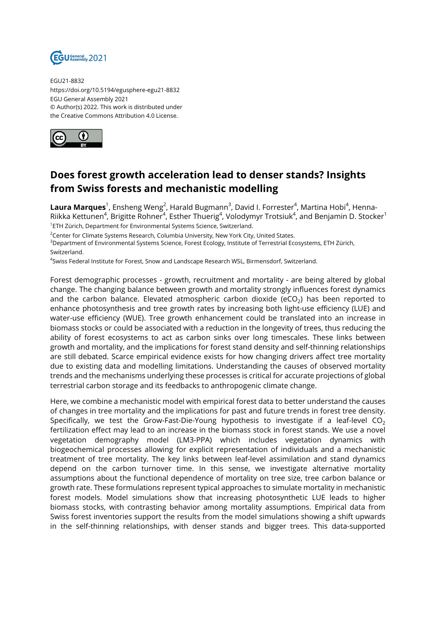

EGU21-8832 https://doi.org/10.5194/egusphere-egu21-8832 EGU General Assembly 2021 © Author(s) 2022. This work is distributed under the Creative Commons Attribution 4.0 License.



## **Does forest growth acceleration lead to denser stands? Insights from Swiss forests and mechanistic modelling**

**Laura Marques**<sup>1</sup>, Ensheng Weng<sup>2</sup>, Harald Bugmann<sup>3</sup>, David I. Forrester<sup>4</sup>, Martina Hobi<sup>4</sup>, Henna-Riikka Kettunen $^4$ , Brigitte Rohner $^4$ , Esther Thuerig $^4$ , Volodymyr Trotsiuk $^4$ , and Benjamin D. Stocker $^1$ <sup>1</sup>ETH Zürich, Department for Environmental Systems Science, Switzerland.

<sup>2</sup>Center for Climate Systems Research, Columbia University, New York City, United States.

<sup>3</sup>Department of Environmental Systems Science, Forest Ecology, Institute of Terrestrial Ecosystems, ETH Zürich, Switzerland.

4 Swiss Federal Institute for Forest, Snow and Landscape Research WSL, Birmensdorf, Switzerland.

Forest demographic processes - growth, recruitment and mortality - are being altered by global change. The changing balance between growth and mortality strongly influences forest dynamics and the carbon balance. Elevated atmospheric carbon dioxide (eCO $_2$ ) has been reported to enhance photosynthesis and tree growth rates by increasing both light-use efficiency (LUE) and water-use efficiency (WUE). Tree growth enhancement could be translated into an increase in biomass stocks or could be associated with a reduction in the longevity of trees, thus reducing the ability of forest ecosystems to act as carbon sinks over long timescales. These links between growth and mortality, and the implications for forest stand density and self-thinning relationships are still debated. Scarce empirical evidence exists for how changing drivers affect tree mortality due to existing data and modelling limitations. Understanding the causes of observed mortality trends and the mechanisms underlying these processes is critical for accurate projections of global terrestrial carbon storage and its feedbacks to anthropogenic climate change.

Here, we combine a mechanistic model with empirical forest data to better understand the causes of changes in tree mortality and the implications for past and future trends in forest tree density. Specifically, we test the Grow-Fast-Die-Young hypothesis to investigate if a leaf-level  $CO<sub>2</sub>$ fertilization effect may lead to an increase in the biomass stock in forest stands. We use a novel vegetation demography model (LM3-PPA) which includes vegetation dynamics with biogeochemical processes allowing for explicit representation of individuals and a mechanistic treatment of tree mortality. The key links between leaf-level assimilation and stand dynamics depend on the carbon turnover time. In this sense, we investigate alternative mortality assumptions about the functional dependence of mortality on tree size, tree carbon balance or growth rate. These formulations represent typical approaches to simulate mortality in mechanistic forest models. Model simulations show that increasing photosynthetic LUE leads to higher biomass stocks, with contrasting behavior among mortality assumptions. Empirical data from Swiss forest inventories support the results from the model simulations showing a shift upwards in the self-thinning relationships, with denser stands and bigger trees. This data-supported